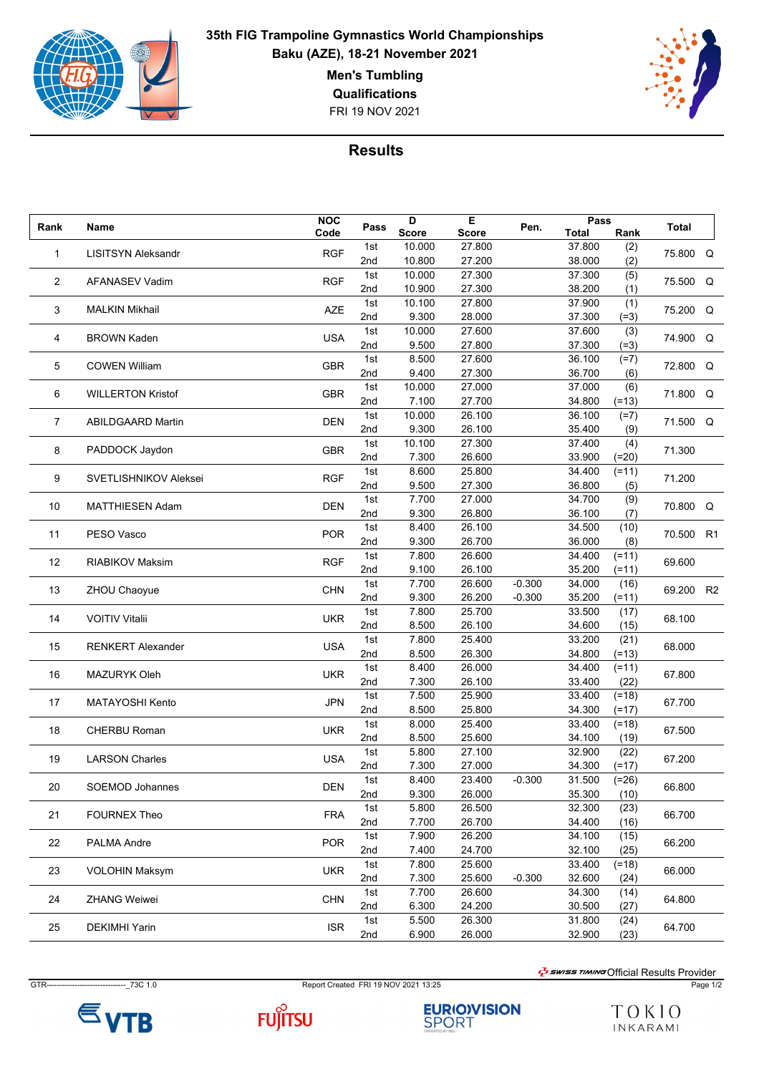

## **35th FIG Trampoline Gymnastics World Championships Baku (AZE), 18-21 November 2021**

**Men's Tumbling**

FRI 19 NOV 2021 **Qualifications**



## **Results**

| Rank   |                              | <b>NOC</b> | Pass | D            | Е            | Pen.     | Pass   |         | <b>Total</b> |    |
|--------|------------------------------|------------|------|--------------|--------------|----------|--------|---------|--------------|----|
|        | Name                         | Code       |      | <b>Score</b> | <b>Score</b> |          | Total  | Rank    |              |    |
| 1      | <b>LISITSYN Aleksandr</b>    | <b>RGF</b> | 1st  | 10.000       | 27.800       |          | 37.800 | (2)     | 75.800 Q     |    |
|        |                              |            | 2nd  | 10.800       | 27.200       |          | 38.000 | (2)     |              |    |
| 2      | AFANASEV Vadim               | <b>RGF</b> | 1st  | 10.000       | 27.300       |          | 37.300 | (5)     | 75.500 Q     |    |
|        |                              |            | 2nd  | 10.900       | 27.300       |          | 38.200 | (1)     |              |    |
|        |                              | <b>AZE</b> | 1st  | 10.100       | 27.800       |          | 37.900 | (1)     |              |    |
| 3      | <b>MALKIN Mikhail</b>        |            | 2nd  | 9.300        | 28.000       |          | 37.300 | $(=3)$  | 75.200 Q     |    |
|        | <b>BROWN Kaden</b>           | <b>USA</b> | 1st  | 10.000       | 27.600       |          | 37.600 | (3)     | 74.900 Q     |    |
| 4      |                              |            | 2nd  | 9.500        | 27.800       |          | 37.300 | $(=3)$  |              |    |
| 5      | <b>COWEN William</b>         | <b>GBR</b> | 1st  | 8.500        | 27.600       |          | 36.100 | $(=7)$  | 72.800 Q     |    |
|        |                              |            | 2nd  | 9.400        | 27.300       |          | 36.700 | (6)     |              |    |
|        |                              | <b>GBR</b> | 1st  | 10.000       | 27.000       |          | 37.000 | (6)     |              |    |
| 6      | <b>WILLERTON Kristof</b>     |            | 2nd  | 7.100        | 27.700       |          | 34.800 | $(=13)$ | 71.800       | Q  |
|        |                              |            | 1st  | 10.000       | 26.100       |          | 36.100 | $(=7)$  |              |    |
| 7      | <b>ABILDGAARD Martin</b>     | DEN        | 2nd  | 9.300        | 26.100       |          | 35.400 | (9)     | 71.500 Q     |    |
|        |                              |            | 1st  | 10.100       | 27.300       |          | 37.400 | (4)     |              |    |
| 8      | PADDOCK Jaydon               | <b>GBR</b> | 2nd  | 7.300        | 26.600       |          | 33.900 | $(=20)$ | 71.300       |    |
|        |                              |            | 1st  | 8.600        | 25.800       |          | 34.400 | $(=11)$ |              |    |
| 9      | <b>SVETLISHNIKOV Aleksei</b> | <b>RGF</b> | 2nd  | 9.500        | 27.300       |          | 36.800 | (5)     | 71.200       |    |
|        |                              |            | 1st  | 7.700        | 27.000       |          | 34.700 | (9)     |              |    |
| 10     | <b>MATTHIESEN Adam</b>       | <b>DEN</b> | 2nd  | 9.300        | 26.800       |          | 36.100 | (7)     | 70.800 Q     |    |
|        |                              |            | 1st  | 8.400        | 26.100       |          | 34.500 | (10)    |              |    |
| 11     | PESO Vasco                   | <b>POR</b> | 2nd  | 9.300        | 26.700       |          | 36.000 | (8)     | 70.500       | R1 |
|        |                              |            | 1st  | 7.800        | 26.600       |          | 34.400 | $(=11)$ |              |    |
| 12     | RIABIKOV Maksim              | <b>RGF</b> | 2nd  | 9.100        | 26.100       |          | 35.200 | $(=11)$ | 69.600       |    |
|        |                              |            | 1st  | 7.700        | 26.600       | $-0.300$ | 34.000 | (16)    |              |    |
| 13     | ZHOU Chaoyue                 | <b>CHN</b> | 2nd  | 9.300        | 26.200       | $-0.300$ | 35.200 | $(=11)$ | 69.200 R2    |    |
|        | <b>VOITIV Vitalii</b>        | <b>UKR</b> | 1st  | 7.800        | 25.700       |          | 33.500 | (17)    | 68.100       |    |
| 14     |                              |            | 2nd  | 8.500        | 26.100       |          | 34.600 | (15)    |              |    |
|        |                              |            | 1st  | 7.800        | 25.400       |          | 33.200 | (21)    |              |    |
| 15     | <b>RENKERT Alexander</b>     | <b>USA</b> | 2nd  | 8.500        | 26.300       |          | 34.800 | $(=13)$ | 68.000       |    |
|        |                              |            | 1st  | 8.400        | 26.000       |          | 34.400 | $(=11)$ |              |    |
| 16     | <b>MAZURYK Oleh</b>          | <b>UKR</b> | 2nd  | 7.300        | 26.100       |          | 33.400 | (22)    | 67.800       |    |
|        |                              |            | 1st  | 7.500        | 25.900       |          | 33.400 | $(=18)$ |              |    |
| 17     | <b>MATAYOSHI Kento</b>       | <b>JPN</b> | 2nd  | 8.500        | 25.800       |          | 34.300 | $(=17)$ | 67.700       |    |
|        |                              |            | 1st  | 8.000        | 25.400       |          | 33.400 | $(=18)$ |              |    |
| 18     | CHERBU Roman                 | <b>UKR</b> | 2nd  | 8.500        | 25.600       |          | 34.100 | (19)    | 67.500       |    |
|        |                              |            | 1st  | 5.800        | 27.100       |          | 32.900 | (22)    |              |    |
| 19     | <b>LARSON Charles</b>        | USA        | 2nd  | 7.300        | 27.000       |          | 34.300 | $(=17)$ | 67.200       |    |
|        |                              |            | 1st  | 8.400        | 23.400       | $-0.300$ | 31.500 | $(=26)$ |              |    |
| $20\,$ | SOEMOD Johannes              | <b>DEN</b> | 2nd  | 9.300        | 26.000       |          | 35.300 | (10)    | 66.800       |    |
| 21     | <b>FOURNEX Theo</b>          | <b>FRA</b> | 1st  | 5.800        | 26.500       |          | 32.300 | (23)    | 66.700       |    |
|        |                              |            | 2nd  | 7.700        | 26.700       |          | 34.400 | (16)    |              |    |
| 22     | PALMA Andre                  | <b>POR</b> | 1st  | 7.900        | 26.200       |          | 34.100 | (15)    |              |    |
|        |                              |            | 2nd  | 7.400        | 24.700       |          | 32.100 | (25)    | 66.200       |    |
|        |                              |            | 1st  | 7.800        | 25.600       |          | 33.400 | $(=18)$ |              |    |
| 23     | <b>VOLOHIN Maksym</b>        | <b>UKR</b> | 2nd  | 7.300        | 25.600       | $-0.300$ | 32.600 | (24)    | 66.000       |    |
|        |                              |            | 1st  | 7.700        | 26.600       |          | 34.300 | (14)    |              |    |
| 24     | <b>ZHANG Weiwei</b>          | <b>CHN</b> | 2nd  | 6.300        | 24.200       |          | 30.500 | (27)    | 64.800       |    |
|        |                              |            | 1st  | 5.500        | 26.300       |          | 31.800 | (24)    |              |    |
| 25     | <b>DEKIMHI Yarin</b>         | <b>ISR</b> | 2nd  | 6.900        | 26.000       |          | 32.900 | (23)    | 64.700       |    |
|        |                              |            |      |              |              |          |        |         |              |    |

GTR-------------------------------\_73C 1.0 Report Created FRI 19 NOV 2021 13:25 Page 1/2

 $\frac{1}{2}$ swiss TIMING Official Results Provider





**EURIO)VISION**<br>SPORT

TOKIO INKARAMI